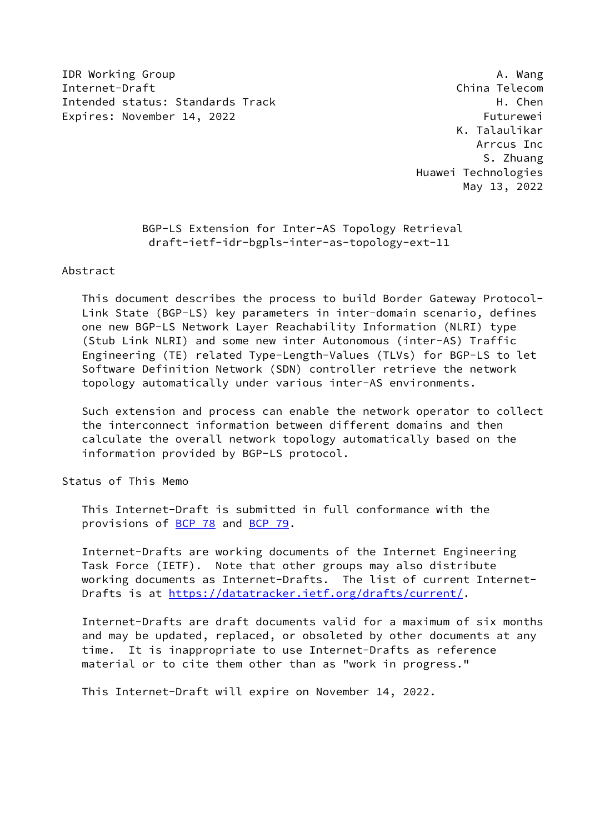IDR Working Group **A. Wang** Internet-Draft China Telecom Intended status: Standards Track H. Chen Expires: November 14, 2022 Futurewei

 K. Talaulikar Arrcus Inc S. Zhuang Huawei Technologies May 13, 2022

> BGP-LS Extension for Inter-AS Topology Retrieval draft-ietf-idr-bgpls-inter-as-topology-ext-11

Abstract

 This document describes the process to build Border Gateway Protocol- Link State (BGP-LS) key parameters in inter-domain scenario, defines one new BGP-LS Network Layer Reachability Information (NLRI) type (Stub Link NLRI) and some new inter Autonomous (inter-AS) Traffic Engineering (TE) related Type-Length-Values (TLVs) for BGP-LS to let Software Definition Network (SDN) controller retrieve the network topology automatically under various inter-AS environments.

 Such extension and process can enable the network operator to collect the interconnect information between different domains and then calculate the overall network topology automatically based on the information provided by BGP-LS protocol.

Status of This Memo

 This Internet-Draft is submitted in full conformance with the provisions of [BCP 78](https://datatracker.ietf.org/doc/pdf/bcp78) and [BCP 79](https://datatracker.ietf.org/doc/pdf/bcp79).

 Internet-Drafts are working documents of the Internet Engineering Task Force (IETF). Note that other groups may also distribute working documents as Internet-Drafts. The list of current Internet- Drafts is at<https://datatracker.ietf.org/drafts/current/>.

 Internet-Drafts are draft documents valid for a maximum of six months and may be updated, replaced, or obsoleted by other documents at any time. It is inappropriate to use Internet-Drafts as reference material or to cite them other than as "work in progress."

This Internet-Draft will expire on November 14, 2022.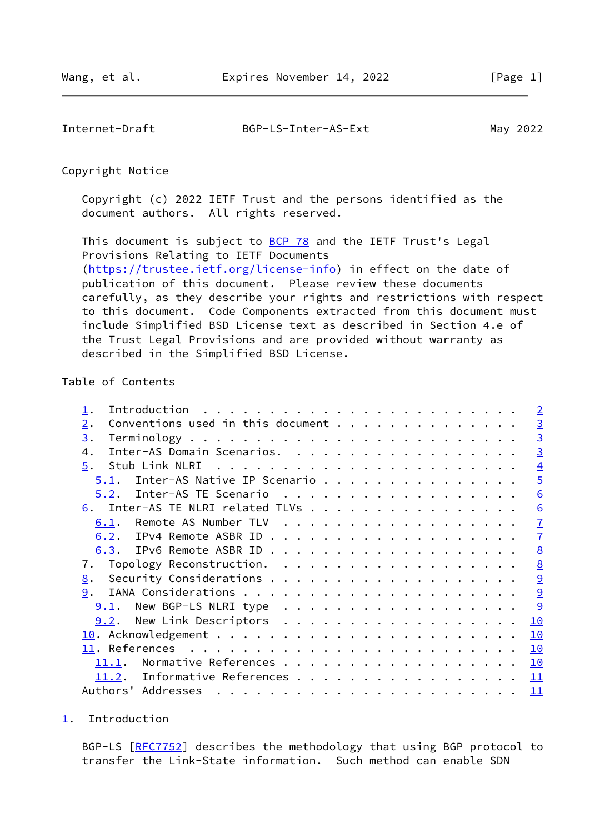<span id="page-1-1"></span>Internet-Draft BGP-LS-Inter-AS-Ext May 2022

Copyright Notice

 Copyright (c) 2022 IETF Trust and the persons identified as the document authors. All rights reserved.

This document is subject to **[BCP 78](https://datatracker.ietf.org/doc/pdf/bcp78)** and the IETF Trust's Legal Provisions Relating to IETF Documents [\(https://trustee.ietf.org/license-info](https://trustee.ietf.org/license-info)) in effect on the date of publication of this document. Please review these documents carefully, as they describe your rights and restrictions with respect to this document. Code Components extracted from this document must include Simplified BSD License text as described in Section 4.e of the Trust Legal Provisions and are provided without warranty as described in the Simplified BSD License.

# Table of Contents

|                    | $\overline{2}$                                                                                                                                                                                                                                                                                                                                                                                                                                                                                            |
|--------------------|-----------------------------------------------------------------------------------------------------------------------------------------------------------------------------------------------------------------------------------------------------------------------------------------------------------------------------------------------------------------------------------------------------------------------------------------------------------------------------------------------------------|
| 2.                 | $\overline{3}$                                                                                                                                                                                                                                                                                                                                                                                                                                                                                            |
| 3.                 | $\overline{3}$                                                                                                                                                                                                                                                                                                                                                                                                                                                                                            |
| 4.                 | $\overline{3}$                                                                                                                                                                                                                                                                                                                                                                                                                                                                                            |
| 5.                 | $\overline{4}$                                                                                                                                                                                                                                                                                                                                                                                                                                                                                            |
|                    | $\overline{5}$                                                                                                                                                                                                                                                                                                                                                                                                                                                                                            |
|                    | 6                                                                                                                                                                                                                                                                                                                                                                                                                                                                                                         |
|                    | 6                                                                                                                                                                                                                                                                                                                                                                                                                                                                                                         |
| 6.1.               | $\overline{1}$                                                                                                                                                                                                                                                                                                                                                                                                                                                                                            |
|                    | $\overline{1}$                                                                                                                                                                                                                                                                                                                                                                                                                                                                                            |
|                    | 8                                                                                                                                                                                                                                                                                                                                                                                                                                                                                                         |
| 7.                 | 8                                                                                                                                                                                                                                                                                                                                                                                                                                                                                                         |
| 8.                 | 9                                                                                                                                                                                                                                                                                                                                                                                                                                                                                                         |
| 9.                 | 9                                                                                                                                                                                                                                                                                                                                                                                                                                                                                                         |
| 9.1.               | 9                                                                                                                                                                                                                                                                                                                                                                                                                                                                                                         |
|                    | 10                                                                                                                                                                                                                                                                                                                                                                                                                                                                                                        |
|                    | 10                                                                                                                                                                                                                                                                                                                                                                                                                                                                                                        |
| 11. References     | 10                                                                                                                                                                                                                                                                                                                                                                                                                                                                                                        |
| 11.1.              | 10                                                                                                                                                                                                                                                                                                                                                                                                                                                                                                        |
| 11.2.              | 11                                                                                                                                                                                                                                                                                                                                                                                                                                                                                                        |
| Authors' Addresses | 11                                                                                                                                                                                                                                                                                                                                                                                                                                                                                                        |
|                    | Inter-AS Domain Scenarios.<br>$5.1$ . Inter-AS Native IP Scenario<br>$5.2$ . Inter-AS TE Scenario<br>6. Inter-AS TE NLRI related TLVs<br>Topology Reconstruction.<br>New BGP-LS NLRI type<br>9.2. New Link Descriptors<br>. The contract of the contract of the contract of the contract of the contract of the contract of the contract of the contract of the contract of the contract of the contract of the contract of the contract of the contrac<br>Normative References<br>Informative References |

<span id="page-1-0"></span>[1](#page-1-0). Introduction

BGP-LS [\[RFC7752](https://datatracker.ietf.org/doc/pdf/rfc7752)] describes the methodology that using BGP protocol to transfer the Link-State information. Such method can enable SDN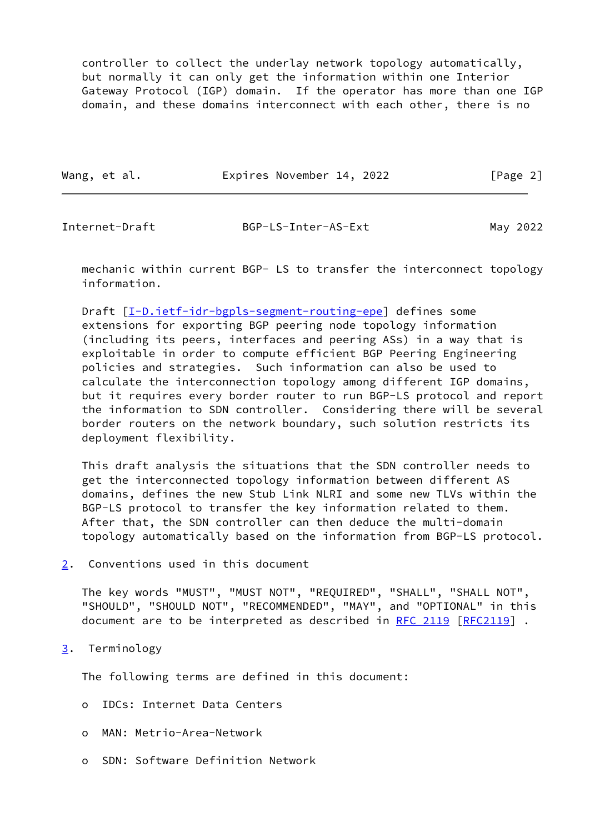controller to collect the underlay network topology automatically, but normally it can only get the information within one Interior Gateway Protocol (IGP) domain. If the operator has more than one IGP domain, and these domains interconnect with each other, there is no

Wang, et al. **Expires November 14, 2022** [Page 2]

<span id="page-2-1"></span>Internet-Draft BGP-LS-Inter-AS-Ext May 2022

 mechanic within current BGP- LS to transfer the interconnect topology information.

Draft [[I-D.ietf-idr-bgpls-segment-routing-epe](#page-11-2)] defines some extensions for exporting BGP peering node topology information (including its peers, interfaces and peering ASs) in a way that is exploitable in order to compute efficient BGP Peering Engineering policies and strategies. Such information can also be used to calculate the interconnection topology among different IGP domains, but it requires every border router to run BGP-LS protocol and report the information to SDN controller. Considering there will be several border routers on the network boundary, such solution restricts its deployment flexibility.

 This draft analysis the situations that the SDN controller needs to get the interconnected topology information between different AS domains, defines the new Stub Link NLRI and some new TLVs within the BGP-LS protocol to transfer the key information related to them. After that, the SDN controller can then deduce the multi-domain topology automatically based on the information from BGP-LS protocol.

<span id="page-2-0"></span>[2](#page-2-0). Conventions used in this document

 The key words "MUST", "MUST NOT", "REQUIRED", "SHALL", "SHALL NOT", "SHOULD", "SHOULD NOT", "RECOMMENDED", "MAY", and "OPTIONAL" in this document are to be interpreted as described in [RFC 2119 \[RFC2119](https://datatracker.ietf.org/doc/pdf/rfc2119)].

<span id="page-2-2"></span>[3](#page-2-2). Terminology

The following terms are defined in this document:

- o IDCs: Internet Data Centers
- o MAN: Metrio-Area-Network
- o SDN: Software Definition Network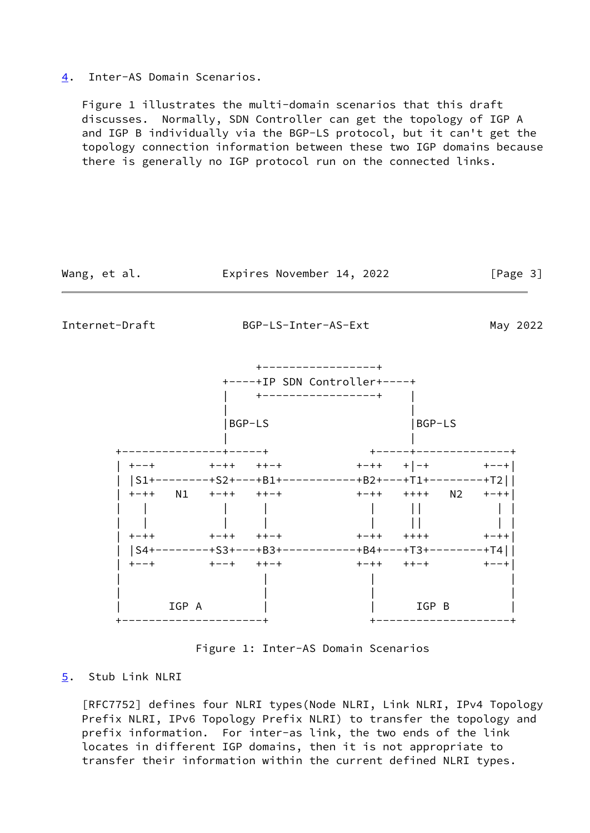### <span id="page-3-2"></span>[4](#page-3-2). Inter-AS Domain Scenarios.

 Figure 1 illustrates the multi-domain scenarios that this draft discusses. Normally, SDN Controller can get the topology of IGP A and IGP B individually via the BGP-LS protocol, but it can't get the topology connection information between these two IGP domains because there is generally no IGP protocol run on the connected links.

<span id="page-3-1"></span>

Figure 1: Inter-AS Domain Scenarios

# <span id="page-3-0"></span>[5](#page-3-0). Stub Link NLRI

 [RFC7752] defines four NLRI types(Node NLRI, Link NLRI, IPv4 Topology Prefix NLRI, IPv6 Topology Prefix NLRI) to transfer the topology and prefix information. For inter-as link, the two ends of the link locates in different IGP domains, then it is not appropriate to transfer their information within the current defined NLRI types.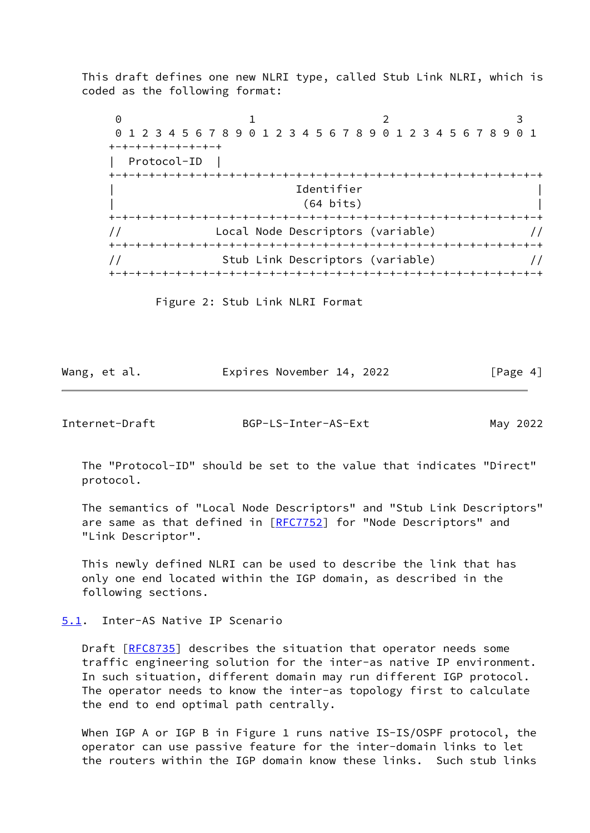This draft defines one new NLRI type, called Stub Link NLRI, which is coded as the following format:

 $0$  1 2 3 0 1 2 3 4 5 6 7 8 9 0 1 2 3 4 5 6 7 8 9 0 1 2 3 4 5 6 7 8 9 0 1 +-+-+-+-+-+-+-+-+ | Protocol-ID | +-+-+-+-+-+-+-+-+-+-+-+-+-+-+-+-+-+-+-+-+-+-+-+-+-+-+-+-+-+-+-+-+ | Identifier | | (64 bits) | +-+-+-+-+-+-+-+-+-+-+-+-+-+-+-+-+-+-+-+-+-+-+-+-+-+-+-+-+-+-+-+-+ // Local Node Descriptors (variable) // +-+-+-+-+-+-+-+-+-+-+-+-+-+-+-+-+-+-+-+-+-+-+-+-+-+-+-+-+-+-+-+-+ // Stub Link Descriptors (variable) // +-+-+-+-+-+-+-+-+-+-+-+-+-+-+-+-+-+-+-+-+-+-+-+-+-+-+-+-+-+-+-+-+

Figure 2: Stub Link NLRI Format

| Wang, et al. | Expires November 14, 2022 | [Page 4] |
|--------------|---------------------------|----------|
|              |                           |          |

<span id="page-4-1"></span>Internet-Draft BGP-LS-Inter-AS-Ext May 2022

 The "Protocol-ID" should be set to the value that indicates "Direct" protocol.

 The semantics of "Local Node Descriptors" and "Stub Link Descriptors" are same as that defined in [\[RFC7752](https://datatracker.ietf.org/doc/pdf/rfc7752)] for "Node Descriptors" and "Link Descriptor".

 This newly defined NLRI can be used to describe the link that has only one end located within the IGP domain, as described in the following sections.

## <span id="page-4-0"></span>[5.1](#page-4-0). Inter-AS Native IP Scenario

 Draft [[RFC8735](https://datatracker.ietf.org/doc/pdf/rfc8735)] describes the situation that operator needs some traffic engineering solution for the inter-as native IP environment. In such situation, different domain may run different IGP protocol. The operator needs to know the inter-as topology first to calculate the end to end optimal path centrally.

 When IGP A or IGP B in Figure 1 runs native IS-IS/OSPF protocol, the operator can use passive feature for the inter-domain links to let the routers within the IGP domain know these links. Such stub links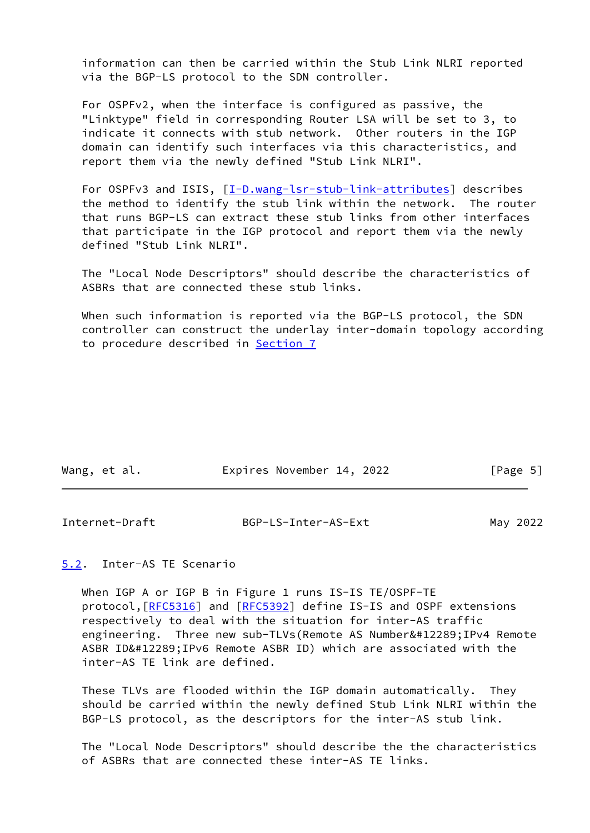information can then be carried within the Stub Link NLRI reported via the BGP-LS protocol to the SDN controller.

 For OSPFv2, when the interface is configured as passive, the "Linktype" field in corresponding Router LSA will be set to 3, to indicate it connects with stub network. Other routers in the IGP domain can identify such interfaces via this characteristics, and report them via the newly defined "Stub Link NLRI".

For OSPFv3 and ISIS, [\[I-D.wang-lsr-stub-link-attributes\]](#page-11-3) describes the method to identify the stub link within the network. The router that runs BGP-LS can extract these stub links from other interfaces that participate in the IGP protocol and report them via the newly defined "Stub Link NLRI".

 The "Local Node Descriptors" should describe the characteristics of ASBRs that are connected these stub links.

 When such information is reported via the BGP-LS protocol, the SDN controller can construct the underlay inter-domain topology according to procedure described in [Section 7](#page-8-1)

| Wang, et al. | Expires November 14, 2022 |  | [Page 5] |
|--------------|---------------------------|--|----------|
|--------------|---------------------------|--|----------|

<span id="page-5-1"></span>

| Internet-Draft | BGP-LS-Inter-AS-Ext | May 2022 |
|----------------|---------------------|----------|
|                |                     |          |

<span id="page-5-0"></span>[5.2](#page-5-0). Inter-AS TE Scenario

When IGP A or IGP B in Figure 1 runs IS-IS TE/OSPF-TE protocol,[\[RFC5316](https://datatracker.ietf.org/doc/pdf/rfc5316)] and [\[RFC5392](https://datatracker.ietf.org/doc/pdf/rfc5392)] define IS-IS and OSPF extensions respectively to deal with the situation for inter-AS traffic engineering. Three new sub-TLVs(Remote AS Number、IPv4 Remote ASBR ID、 IPv6 Remote ASBR ID) which are associated with the inter-AS TE link are defined.

 These TLVs are flooded within the IGP domain automatically. They should be carried within the newly defined Stub Link NLRI within the BGP-LS protocol, as the descriptors for the inter-AS stub link.

 The "Local Node Descriptors" should describe the the characteristics of ASBRs that are connected these inter-AS TE links.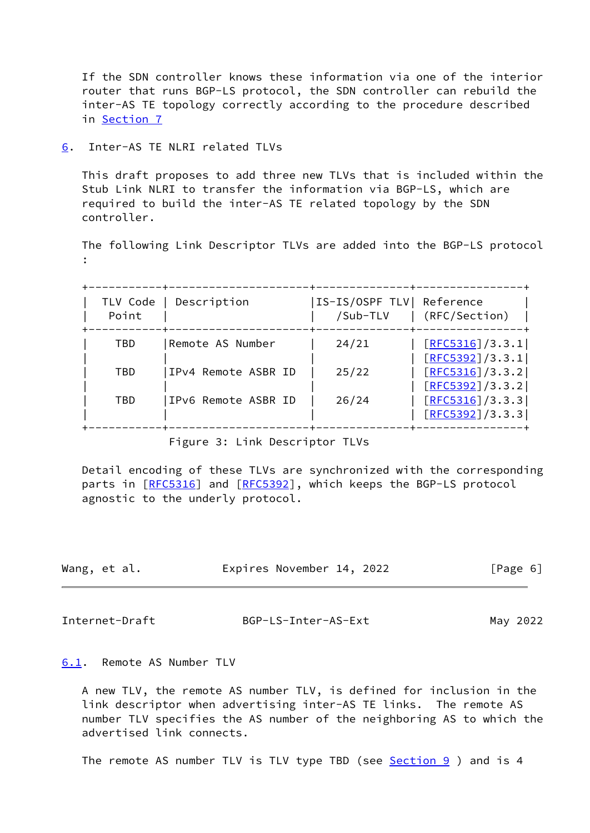If the SDN controller knows these information via one of the interior router that runs BGP-LS protocol, the SDN controller can rebuild the inter-AS TE topology correctly according to the procedure described in [Section 7](#page-8-1)

<span id="page-6-0"></span>[6](#page-6-0). Inter-AS TE NLRI related TLVs

 This draft proposes to add three new TLVs that is included within the Stub Link NLRI to transfer the information via BGP-LS, which are required to build the inter-AS TE related topology by the SDN controller.

 The following Link Descriptor TLVs are added into the BGP-LS protocol :

| TLV Code<br>Point | Description         | IS-IS/OSPF TLV  Reference<br>/Sub-TLV | (RFC/Section)                        |
|-------------------|---------------------|---------------------------------------|--------------------------------------|
| TBD               | Remote AS Number    | 24/21                                 | [REC5316]/3.3.1 <br>[REC5392]/3.3.1  |
| TBD               | IPv4 Remote ASBR ID | 25/22                                 | [REC5316]/3.3.2]<br>[REC5392]/3.3.2] |
| TBD               | IPv6 Remote ASBR ID | 26/24                                 | [REC5316]/3.3.3]<br>[REC5392]/3.3.3] |

Figure 3: Link Descriptor TLVs

 Detail encoding of these TLVs are synchronized with the corresponding parts in [\[RFC5316](https://datatracker.ietf.org/doc/pdf/rfc5316)] and [\[RFC5392](https://datatracker.ietf.org/doc/pdf/rfc5392)], which keeps the BGP-LS protocol agnostic to the underly protocol.

| Wang, et al. | Expires November 14, 2022 |  | [Page 6] |  |
|--------------|---------------------------|--|----------|--|
|              |                           |  |          |  |

<span id="page-6-2"></span>Internet-Draft BGP-LS-Inter-AS-Ext May 2022

<span id="page-6-1"></span>[6.1](#page-6-1). Remote AS Number TLV

 A new TLV, the remote AS number TLV, is defined for inclusion in the link descriptor when advertising inter-AS TE links. The remote AS number TLV specifies the AS number of the neighboring AS to which the advertised link connects.

The remote AS number TLV is TLV type TBD (see **Section 9** ) and is 4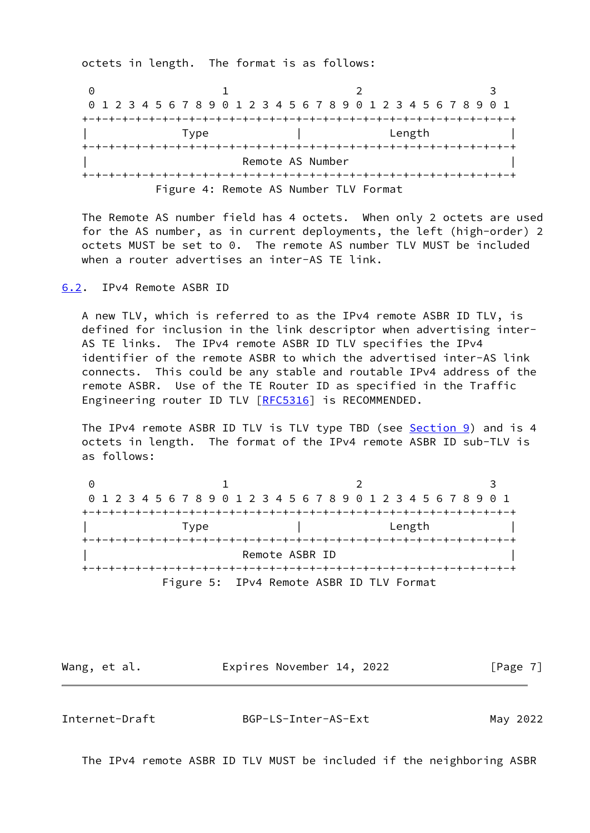octets in length. The format is as follows:

0 1 2 3 0 1 2 3 4 5 6 7 8 9 0 1 2 3 4 5 6 7 8 9 0 1 2 3 4 5 6 7 8 9 0 1 +-+-+-+-+-+-+-+-+-+-+-+-+-+-+-+-+-+-+-+-+-+-+-+-+-+-+-+-+-+-+-+-+ | Type | Length | +-+-+-+-+-+-+-+-+-+-+-+-+-+-+-+-+-+-+-+-+-+-+-+-+-+-+-+-+-+-+-+-+ Remote AS Number +-+-+-+-+-+-+-+-+-+-+-+-+-+-+-+-+-+-+-+-+-+-+-+-+-+-+-+-+-+-+-+-+ Figure 4: Remote AS Number TLV Format

 The Remote AS number field has 4 octets. When only 2 octets are used for the AS number, as in current deployments, the left (high-order) 2 octets MUST be set to 0. The remote AS number TLV MUST be included when a router advertises an inter-AS TE link.

### <span id="page-7-0"></span>[6.2](#page-7-0). IPv4 Remote ASBR ID

 A new TLV, which is referred to as the IPv4 remote ASBR ID TLV, is defined for inclusion in the link descriptor when advertising inter- AS TE links. The IPv4 remote ASBR ID TLV specifies the IPv4 identifier of the remote ASBR to which the advertised inter-AS link connects. This could be any stable and routable IPv4 address of the remote ASBR. Use of the TE Router ID as specified in the Traffic Engineering router ID TLV [[RFC5316](https://datatracker.ietf.org/doc/pdf/rfc5316)] is RECOMMENDED.

The IPv4 remote ASBR ID TLV is TLV type TBD (see [Section 9](#page-9-2)) and is 4 octets in length. The format of the IPv4 remote ASBR ID sub-TLV is as follows:

|      | 0 1 2 3 4 5 6 7 8 9 0 1 2 3 4 5 6 7 8 9 0 1 2 3 4 5 6 7 8 9 0 1 |        |
|------|-----------------------------------------------------------------|--------|
|      |                                                                 |        |
| Tvpe |                                                                 | Length |
|      |                                                                 |        |
|      | Remote ASBR ID                                                  |        |
|      |                                                                 |        |
|      | Figure 5: IPv4 Remote ASBR ID TLV Format                        |        |

Wang, et al. **Expires November 14, 2022** [Page 7]

<span id="page-7-1"></span>Internet-Draft BGP-LS-Inter-AS-Ext May 2022

The IPv4 remote ASBR ID TLV MUST be included if the neighboring ASBR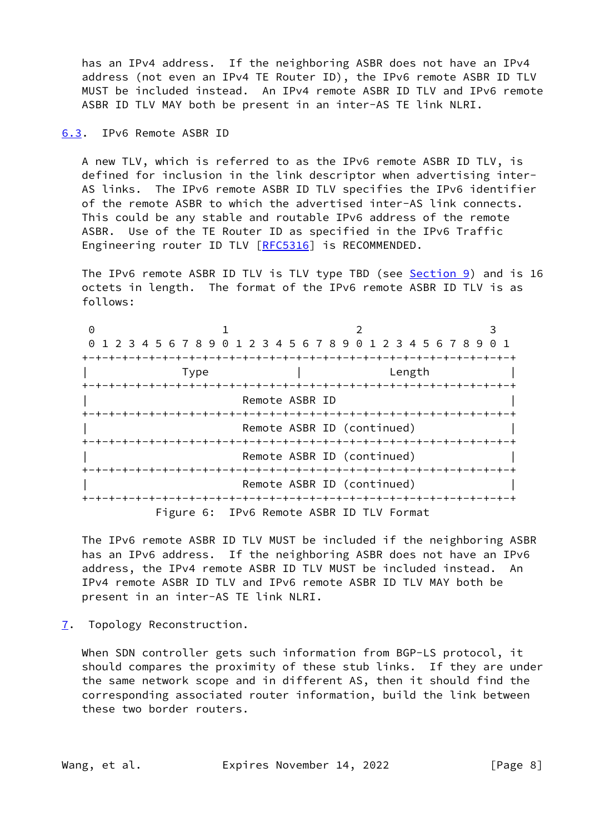has an IPv4 address. If the neighboring ASBR does not have an IPv4 address (not even an IPv4 TE Router ID), the IPv6 remote ASBR ID TLV MUST be included instead. An IPv4 remote ASBR ID TLV and IPv6 remote ASBR ID TLV MAY both be present in an inter-AS TE link NLRI.

<span id="page-8-0"></span>[6.3](#page-8-0). IPv6 Remote ASBR ID

 A new TLV, which is referred to as the IPv6 remote ASBR ID TLV, is defined for inclusion in the link descriptor when advertising inter- AS links. The IPv6 remote ASBR ID TLV specifies the IPv6 identifier of the remote ASBR to which the advertised inter-AS link connects. This could be any stable and routable IPv6 address of the remote ASBR. Use of the TE Router ID as specified in the IPv6 Traffic Engineering router ID TLV [[RFC5316](https://datatracker.ietf.org/doc/pdf/rfc5316)] is RECOMMENDED.

 The IPv6 remote ASBR ID TLV is TLV type TBD (see [Section 9](#page-9-2)) and is 16 octets in length. The format of the IPv6 remote ASBR ID TLV is as follows:

0 1 2 3 0 1 2 3 4 5 6 7 8 9 0 1 2 3 4 5 6 7 8 9 0 1 2 3 4 5 6 7 8 9 0 1 +-+-+-+-+-+-+-+-+-+-+-+-+-+-+-+-+-+-+-+-+-+-+-+-+-+-+-+-+-+-+-+-+ | Type | Length | +-+-+-+-+-+-+-+-+-+-+-+-+-+-+-+-+-+-+-+-+-+-+-+-+-+-+-+-+-+-+-+-+ Remote ASBR ID +-+-+-+-+-+-+-+-+-+-+-+-+-+-+-+-+-+-+-+-+-+-+-+-+-+-+-+-+-+-+-+-+ Remote ASBR ID (continued) +-+-+-+-+-+-+-+-+-+-+-+-+-+-+-+-+-+-+-+-+-+-+-+-+-+-+-+-+-+-+-+-+ Remote ASBR ID (continued) +-+-+-+-+-+-+-+-+-+-+-+-+-+-+-+-+-+-+-+-+-+-+-+-+-+-+-+-+-+-+-+-+ Remote ASBR ID (continued) +-+-+-+-+-+-+-+-+-+-+-+-+-+-+-+-+-+-+-+-+-+-+-+-+-+-+-+-+-+-+-+-+ Figure 6: IPv6 Remote ASBR ID TLV Format

 The IPv6 remote ASBR ID TLV MUST be included if the neighboring ASBR has an IPv6 address. If the neighboring ASBR does not have an IPv6 address, the IPv4 remote ASBR ID TLV MUST be included instead. An IPv4 remote ASBR ID TLV and IPv6 remote ASBR ID TLV MAY both be present in an inter-AS TE link NLRI.

<span id="page-8-1"></span>[7](#page-8-1). Topology Reconstruction.

 When SDN controller gets such information from BGP-LS protocol, it should compares the proximity of these stub links. If they are under the same network scope and in different AS, then it should find the corresponding associated router information, build the link between these two border routers.

Wang, et al. **Expires November 14, 2022** [Page 8]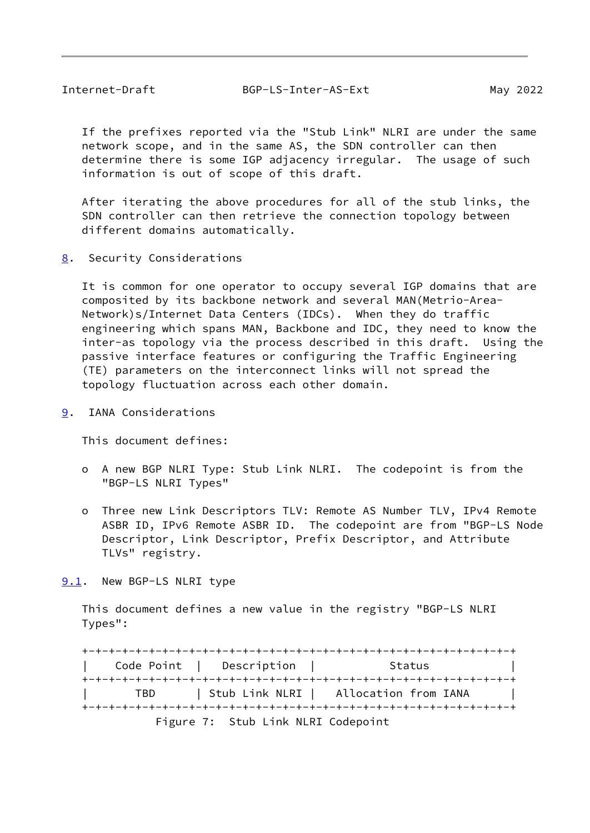<span id="page-9-1"></span> If the prefixes reported via the "Stub Link" NLRI are under the same network scope, and in the same AS, the SDN controller can then determine there is some IGP adjacency irregular. The usage of such information is out of scope of this draft.

 After iterating the above procedures for all of the stub links, the SDN controller can then retrieve the connection topology between different domains automatically.

<span id="page-9-0"></span>[8](#page-9-0). Security Considerations

 It is common for one operator to occupy several IGP domains that are composited by its backbone network and several MAN(Metrio-Area- Network)s/Internet Data Centers (IDCs). When they do traffic engineering which spans MAN, Backbone and IDC, they need to know the inter-as topology via the process described in this draft. Using the passive interface features or configuring the Traffic Engineering (TE) parameters on the interconnect links will not spread the topology fluctuation across each other domain.

<span id="page-9-2"></span>[9](#page-9-2). IANA Considerations

This document defines:

- o A new BGP NLRI Type: Stub Link NLRI. The codepoint is from the "BGP-LS NLRI Types"
- o Three new Link Descriptors TLV: Remote AS Number TLV, IPv4 Remote ASBR ID, IPv6 Remote ASBR ID. The codepoint are from "BGP-LS Node Descriptor, Link Descriptor, Prefix Descriptor, and Attribute TLVs" registry.

<span id="page-9-3"></span>[9.1](#page-9-3). New BGP-LS NLRI type

 This document defines a new value in the registry "BGP-LS NLRI Types":

 +-+-+-+-+-+-+-+-+-+-+-+-+-+-+-+-+-+-+-+-+-+-+-+-+-+-+-+-+-+-+-+-+ Code Point | Description | Status +-+-+-+-+-+-+-+-+-+-+-+-+-+-+-+-+-+-+-+-+-+-+-+-+-+-+-+-+-+-+-+-+ | TBD | Stub Link NLRI | Allocation from IANA | +-+-+-+-+-+-+-+-+-+-+-+-+-+-+-+-+-+-+-+-+-+-+-+-+-+-+-+-+-+-+-+-+ Figure 7: Stub Link NLRI Codepoint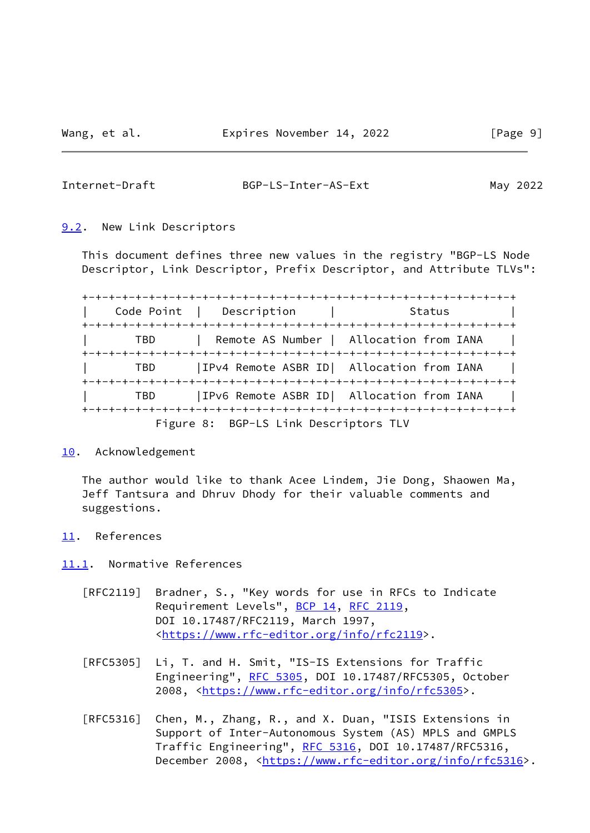<span id="page-10-1"></span>

#### Internet-Draft BGP-LS-Inter-AS-Ext May 2022

<span id="page-10-0"></span>[9.2](#page-10-0). New Link Descriptors

 This document defines three new values in the registry "BGP-LS Node Descriptor, Link Descriptor, Prefix Descriptor, and Attribute TLVs":

 +-+-+-+-+-+-+-+-+-+-+-+-+-+-+-+-+-+-+-+-+-+-+-+-+-+-+-+-+-+-+-+-+ | Code Point | Description | Status | Status | Status | Status | Status | Status | Status | Status | Status | Status | Status | Status | Status | Status | Status | Status | Status | Status | Status | Status | Status | Stat +-+-+-+-+-+-+-+-+-+-+-+-+-+-+-+-+-+-+-+-+-+-+-+-+-+-+-+-+-+-+-+-+ | TBD | Remote AS Number | Allocation from IANA | +-+-+-+-+-+-+-+-+-+-+-+-+-+-+-+-+-+-+-+-+-+-+-+-+-+-+-+-+-+-+-+-+ | TBD |IPv4 Remote ASBR ID| Allocation from IANA | +-+-+-+-+-+-+-+-+-+-+-+-+-+-+-+-+-+-+-+-+-+-+-+-+-+-+-+-+-+-+-+-+ | TBD |IPv6 Remote ASBR ID| Allocation from IANA | +-+-+-+-+-+-+-+-+-+-+-+-+-+-+-+-+-+-+-+-+-+-+-+-+-+-+-+-+-+-+-+-+ Figure 8: BGP-LS Link Descriptors TLV

### <span id="page-10-2"></span>[10.](#page-10-2) Acknowledgement

 The author would like to thank Acee Lindem, Jie Dong, Shaowen Ma, Jeff Tantsura and Dhruv Dhody for their valuable comments and suggestions.

<span id="page-10-3"></span>[11.](#page-10-3) References

<span id="page-10-4"></span>[11.1](#page-10-4). Normative References

- [RFC2119] Bradner, S., "Key words for use in RFCs to Indicate Requirement Levels", [BCP 14](https://datatracker.ietf.org/doc/pdf/bcp14), [RFC 2119](https://datatracker.ietf.org/doc/pdf/rfc2119), DOI 10.17487/RFC2119, March 1997, <[https://www.rfc-editor.org/info/rfc2119>](https://www.rfc-editor.org/info/rfc2119).
- [RFC5305] Li, T. and H. Smit, "IS-IS Extensions for Traffic Engineering", [RFC 5305](https://datatracker.ietf.org/doc/pdf/rfc5305), DOI 10.17487/RFC5305, October 2008, [<https://www.rfc-editor.org/info/rfc5305](https://www.rfc-editor.org/info/rfc5305)>.
- [RFC5316] Chen, M., Zhang, R., and X. Duan, "ISIS Extensions in Support of Inter-Autonomous System (AS) MPLS and GMPLS Traffic Engineering", [RFC 5316](https://datatracker.ietf.org/doc/pdf/rfc5316), DOI 10.17487/RFC5316, December 2008, <<https://www.rfc-editor.org/info/rfc5316>>.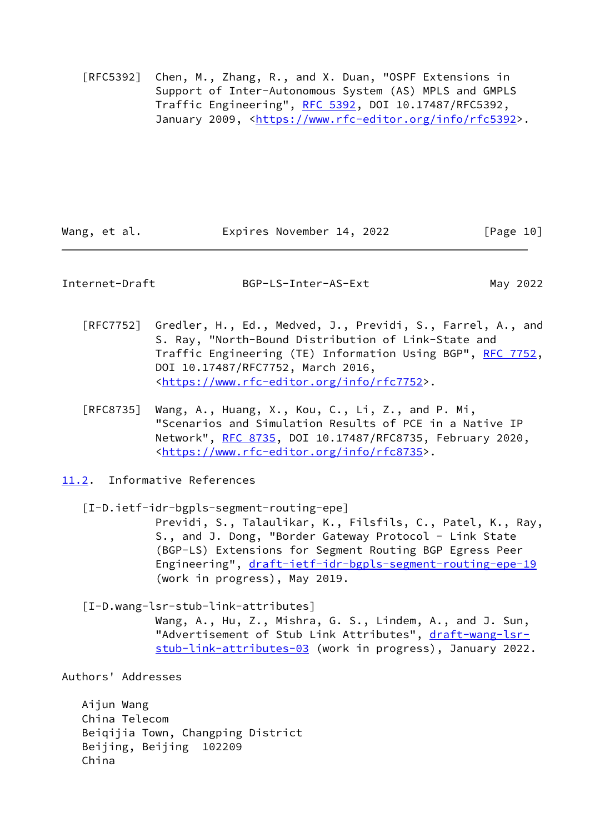[RFC5392] Chen, M., Zhang, R., and X. Duan, "OSPF Extensions in Support of Inter-Autonomous System (AS) MPLS and GMPLS Traffic Engineering", [RFC 5392](https://datatracker.ietf.org/doc/pdf/rfc5392), DOI 10.17487/RFC5392, January 2009, [<https://www.rfc-editor.org/info/rfc5392](https://www.rfc-editor.org/info/rfc5392)>.

Wang, et al. **Expires November 14, 2022** [Page 10]

<span id="page-11-1"></span>Internet-Draft BGP-LS-Inter-AS-Ext May 2022

- [RFC7752] Gredler, H., Ed., Medved, J., Previdi, S., Farrel, A., and S. Ray, "North-Bound Distribution of Link-State and Traffic Engineering (TE) Information Using BGP", [RFC 7752,](https://datatracker.ietf.org/doc/pdf/rfc7752) DOI 10.17487/RFC7752, March 2016, <[https://www.rfc-editor.org/info/rfc7752>](https://www.rfc-editor.org/info/rfc7752).
- [RFC8735] Wang, A., Huang, X., Kou, C., Li, Z., and P. Mi, "Scenarios and Simulation Results of PCE in a Native IP Network", [RFC 8735](https://datatracker.ietf.org/doc/pdf/rfc8735), DOI 10.17487/RFC8735, February 2020, <[https://www.rfc-editor.org/info/rfc8735>](https://www.rfc-editor.org/info/rfc8735).
- <span id="page-11-0"></span>[11.2](#page-11-0). Informative References

<span id="page-11-2"></span> [I-D.ietf-idr-bgpls-segment-routing-epe] Previdi, S., Talaulikar, K., Filsfils, C., Patel, K., Ray, S., and J. Dong, "Border Gateway Protocol - Link State (BGP-LS) Extensions for Segment Routing BGP Egress Peer Engineering", [draft-ietf-idr-bgpls-segment-routing-epe-19](https://datatracker.ietf.org/doc/pdf/draft-ietf-idr-bgpls-segment-routing-epe-19) (work in progress), May 2019.

<span id="page-11-3"></span> [I-D.wang-lsr-stub-link-attributes] Wang, A., Hu, Z., Mishra, G. S., Lindem, A., and J. Sun, "Advertisement of Stub Link Attributes", [draft-wang-lsr](https://datatracker.ietf.org/doc/pdf/draft-wang-lsr-stub-link-attributes-03) [stub-link-attributes-03](https://datatracker.ietf.org/doc/pdf/draft-wang-lsr-stub-link-attributes-03) (work in progress), January 2022.

Authors' Addresses

 Aijun Wang China Telecom Beiqijia Town, Changping District Beijing, Beijing 102209 China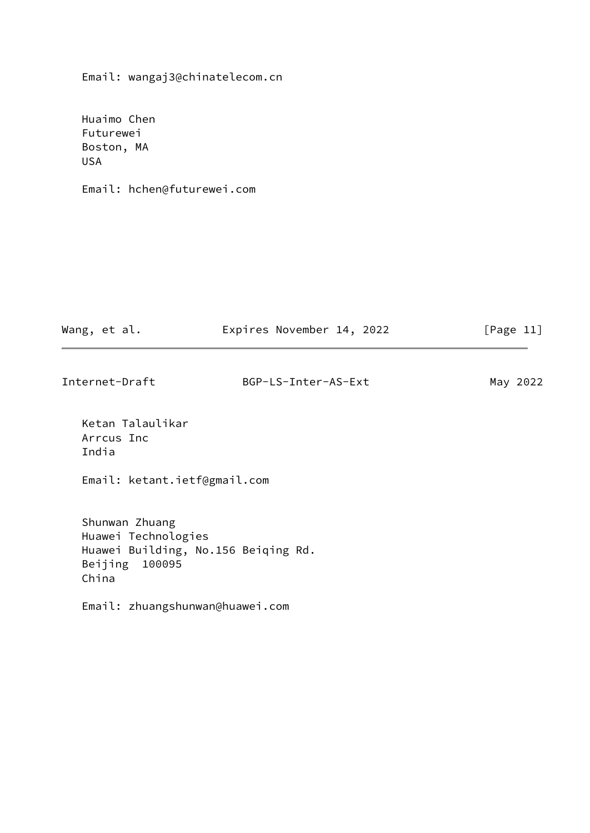Email: wangaj3@chinatelecom.cn

 Huaimo Chen Futurewei Boston, MA USA

Email: hchen@futurewei.com

| Wang, et al. | Expires November 14, 2022 |  | [Page 11] |  |
|--------------|---------------------------|--|-----------|--|
|              |                           |  |           |  |

| Internet-Draft | BGP-LS-Inter-AS-Ext | May 2022 |
|----------------|---------------------|----------|
|                |                     |          |

 Ketan Talaulikar Arrcus Inc India

Email: ketant.ietf@gmail.com

 Shunwan Zhuang Huawei Technologies Huawei Building, No.156 Beiqing Rd. Beijing 100095 China

Email: zhuangshunwan@huawei.com